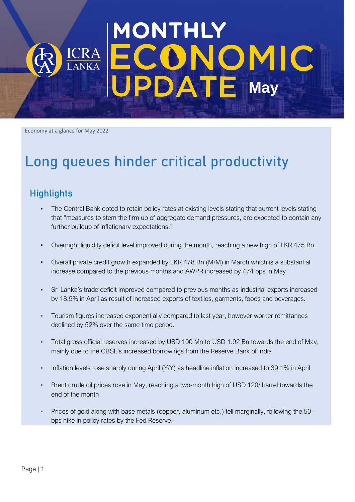# MONTHLY **OMIC**<br>E May DA

Economy at a glance for May 2022

## Long queues hinder critical productivity

## **Highlights**

- The Central Bank opted to retain policy rates at existing levels stating that current levels stating that "measures to stem the firm up of aggregate demand pressures, are expected to contain any further buildup of inflationary expectations."
- Overnight liquidity deficit level improved during the month, reaching a new high of LKR 475 Bn.
- Overall private credit growth expanded by LKR 478 Bn (M/M) in March which is a substantial increase compared to the previous months and AWPR increased by 474 bps in May
- Sri Lanka's trade deficit improved compared to previous months as industrial exports increased by 18.5% in April as result of increased exports of textiles, garments, foods and beverages.
- Tourism figures increased exponentially compared to last year, however worker remittances declined by 52% over the same time period.
- Total gross official reserves increased by USD 100 Mn to USD 1.92 Bn towards the end of May, mainly due to the CBSL's increased borrowings from the Reserve Bank of India
- Inflation levels rose sharply during April (Y/Y) as headline inflation increased to 39.1% in April
- Brent crude oil prices rose in May, reaching a two-month high of USD 120/ barrel towards the end of the month
- Prices of gold along with base metals (copper, aluminum etc.) fell marginally, following the 50bps hike in policy rates by the Fed Reserve.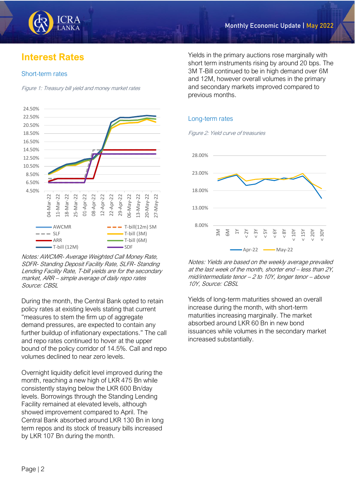

## **Interest Rates**

#### Short-term rates

Figure 1: Treasury bill yield and money market rates



Notes: AWCMR- Average Weighted Call Money Rate, SDFR- Standing Deposit Facility Rate, SLFR- Standing Lending Facility Rate, T-bill yields are for the secondary market, ARR – simple average of daily repo rates Source: CBSL

During the month, the Central Bank opted to retain policy rates at existing levels stating that current "measures to stem the firm up of aggregate demand pressures, are expected to contain any further buildup of inflationary expectations." The call and repo rates continued to hover at the upper bound of the policy corridor of 14.5%. Call and repo volumes declined to near zero levels.

Overnight liquidity deficit level improved during the month, reaching a new high of LKR 475 Bn while consistently staying below the LKR 600 Bn/day levels. Borrowings through the Standing Lending Facility remained at elevated levels, although showed improvement compared to April. The Central Bank absorbed around LKR 130 Bn in long term repos and its stock of treasury bills increased by LKR 107 Bn during the month.

Yields in the primary auctions rose marginally with short term instruments rising by around 20 bps. The 3M T-Bill continued to be in high demand over 6M and 12M, however overall volumes in the primary and secondary markets improved compared to previous months.

#### Long-term rates

Figure 2: Yield curve of treasuries



Notes: Yields are based on the weekly average prevailed at the last week of the month, shorter end – less than 2Y, mid/intermediate tenor – 2 to 10Y, longer tenor – above 10Y, Source: CBSL

Yields of long-term maturities showed an overall increase during the month, with short-term maturities increasing marginally. The market absorbed around LKR 60 Bn in new bond issuances while volumes in the secondary market increased substantially.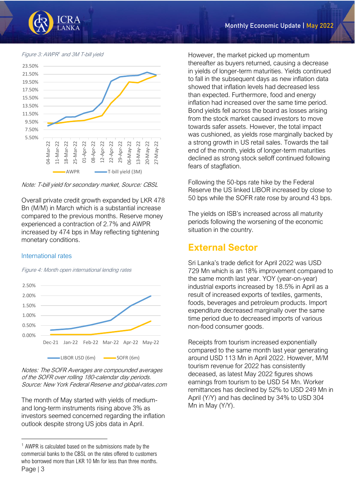

Figure 3: AWPR <sup>1</sup> and 3M T-bill yield



Note: T-bill yield for secondary market, Source: CBSL

Overall private credit growth expanded by LKR 478 Bn (M/M) in March which is a substantial increase compared to the previous months. Reserve money experienced a contraction of 2.7% and AWPR increased by 474 bps in May reflecting tightening monetary conditions.

#### International rates

Figure 4: Month open international lending rates



Notes: The SOFR Averages are compounded averages of the SOFR over rolling 180-calendar day periods. Source: New York Federal Reserve and global-rates.com

The month of May started with yields of mediumand long-term instruments rising above 3% as investors seemed concerned regarding the inflation outlook despite strong US jobs data in April.

However, the market picked up momentum thereafter as buyers returned, causing a decrease in yields of longer-term maturities. Yields continued to fall in the subsequent days as new inflation data showed that inflation levels had decreased less than expected. Furthermore, food and energy inflation had increased over the same time period. Bond yields fell across the board as losses arising from the stock market caused investors to move towards safer assets. However, the total impact was cushioned, as yields rose marginally backed by a strong growth in US retail sales. Towards the tail end of the month, yields of longer-term maturities declined as strong stock selloff continued following fears of stagflation.

Following the 50-bps rate hike by the Federal Reserve the US linked LIBOR increased by close to 50 bps while the SOFR rate rose by around 43 bps.

The yields on ISB's increased across all maturity periods following the worsening of the economic situation in the country.

## **External Sector**

Sri Lanka's trade deficit for April 2022 was USD 729 Mn which is an 18% improvement compared to the same month last year. YOY (year-on-year) industrial exports increased by 18.5% in April as a result of increased exports of textiles, garments, foods, beverages and petroleum products. Import expenditure decreased marginally over the same time period due to decreased imports of various non-food consumer goods.

Receipts from tourism increased exponentially compared to the same month last year generating around USD 113 Mn in April 2022. However, M/M tourism revenue for 2022 has consistently deceased, as latest May 2022 figures shows earnings from tourism to be USD 54 Mn. Worker remittances has declined by 52% to USD 249 Mn in April (Y/Y) and has declined by 34% to USD 304 Mn in May (Y/Y).

Page | 3 <sup>1</sup> AWPR is calculated based on the submissions made by the commercial banks to the CBSL on the rates offered to customers who borrowed more than LKR 10 Mn for less than three months.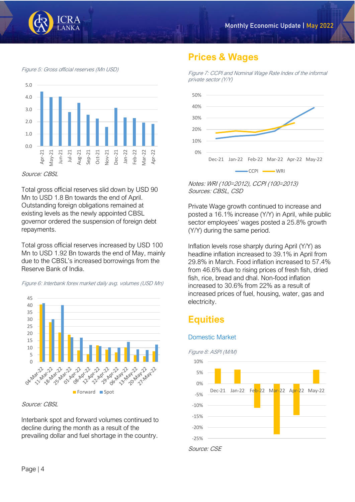

Figure 5: Gross official reserves (Mn USD)



Source: CBSL

Total gross official reserves slid down by USD 90 Mn to USD 1.8 Bn towards the end of April. Outstanding foreign obligations remained at existing levels as the newly appointed CBSL governor ordered the suspension of foreign debt repayments.

Total gross official reserves increased by USD 100 Mn to USD 1.92 Bn towards the end of May, mainly due to the CBSL's increased borrowings from the Reserve Bank of India.



Figure 6: Interbank forex market daily avg. volumes (USD Mn)



Source: CBSL

Interbank spot and forward volumes continued to decline during the month as a result of the prevailing dollar and fuel shortage in the country.

## **Prices & Wages**

Figure 7: CCPI and Nominal Wage Rate Index of the informal private sector (Y/Y)



Notes: WRI (100=2012), CCPI (100=2013) Sources: CBSL, CSD

Private Wage growth continued to increase and posted a 16.1% increase (Y/Y) in April, while public sector employees' wages posted a 25.8% growth (Y/Y) during the same period.

Inflation levels rose sharply during April (Y/Y) as headline inflation increased to 39.1% in April from 29.8% in March. Food inflation increased to 57.4% from 46.6% due to rising prices of fresh fish, dried fish, rice, bread and dhal. Non-food inflation increased to 30.6% from 22% as a result of increased prices of fuel, housing, water, gas and electricity.

## **Equities**

#### Domestic Market

Figure 8: ASPI (M/M)

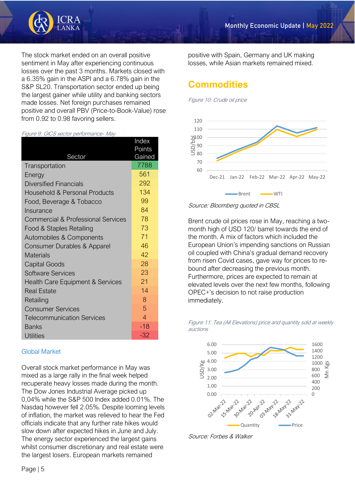

The stock market ended on an overall positive sentiment in May after experiencing continuous losses over the past 3 months. Markets closed with a 6.35% gain in the ASPI and a 6.78% gain in the S&P SL20. Transportation sector ended up being the largest gainer while utility and banking sectors made losses. Net foreign purchases remained positive and overall PBV (Price-to-Book-Value) rose from 0.92 to 0.98 favoring sellers.

#### Figure 9: GICS sector performance- May

|                                             | Index            |
|---------------------------------------------|------------------|
| Sector                                      | Points<br>Gained |
| Transportation                              | 7788             |
| Energy                                      | 561              |
| <b>Diversified Financials</b>               | 292              |
| Household & Personal Products               | 134              |
| Food, Beverage & Tobacco                    | 99               |
| Insurance                                   | 84               |
| Commercial & Professional Services          | 78               |
| Food & Staples Retailing                    | 73               |
| Automobiles & Components                    | 71               |
| Consumer Durables & Apparel                 | 46               |
| <b>Materials</b>                            | 42               |
| <b>Capital Goods</b>                        | 28               |
| Software Services                           | 23               |
| <b>Health Care Equipment &amp; Services</b> | 21               |
| <b>Real Estate</b>                          | 14               |
| Retailing                                   | 8                |
| <b>Consumer Services</b>                    | 5                |
| <b>Telecommunication Services</b>           | $\overline{4}$   |
| Banks                                       | $-18$            |
| <b>Utilities</b>                            | $-32$            |

#### Global Market

Overall stock market performance in May was mixed as a large rally in the final week helped recuperate heavy losses made during the month. The Dow Jones Industrial Average picked up 0,04% while the S&P 500 Index added 0.01%. The Nasdaq however fell 2.05%. Despite looming levels of inflation, the market was relieved to hear the Fed officials indicate that any further rate hikes would slow down after expected hikes in June and July. The energy sector experienced the largest gains whilst consumer discretionary and real estate were the largest losers. European markets remained

positive with Spain, Germany and UK making losses, while Asian markets remained mixed.

## **Commodities**

Figure 10: Crude oil price



Source: Bloomberg quoted in CBSL

Brent crude oil prices rose in May, reaching a twomonth high of USD 120/ barrel towards the end of the month. A mix of factors which included the European Union's impending sanctions on Russian oil coupled with China's gradual demand recovery from risen Covid cases, gave way for prices to rebound after decreasing the previous month. Furthermore, prices are expected to remain at elevated levels over the next few months, following OPEC+'s decision to not raise production immediately.





Source: Forbes & Walker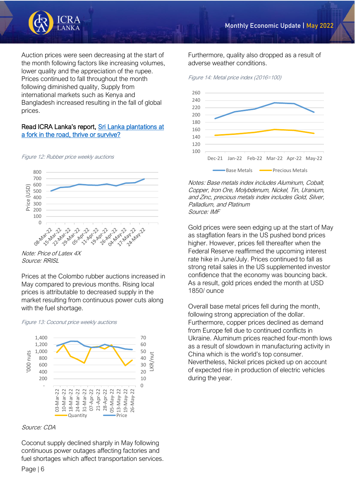

Auction prices were seen decreasing at the start of the month following factors like increasing volumes, lower quality and the appreciation of the rupee. Prices continued to fall throughout the month following diminished quality, Supply from international markets such as Kenya and Bangladesh increased resulting in the fall of global prices.

#### Read ICRA Lanka's report, [Sri Lanka plantations at](https://www.icralanka.com/research/sri-lanka-plantations-at-a-fork-in-the-road-thrive-or-survive/)  [a fork in the road, thrive or survive?](https://www.icralanka.com/research/sri-lanka-plantations-at-a-fork-in-the-road-thrive-or-survive/)

Figure 12: Rubber price weekly auctions



Note: Price of Latex 4X Source: RRISL

Prices at the Colombo rubber auctions increased in May compared to previous months. Rising local prices is attributable to decreased supply in the market resulting from continuous power cuts along with the fuel shortage.

#### Figure 13: Coconut price weekly auctions



#### Source: CDA

Coconut supply declined sharply in May following continuous power outages affecting factories and fuel shortages which affect transportation services. Furthermore, quality also dropped as a result of adverse weather conditions.





Notes: Base metals index includes Aluminum, Cobalt, Copper, Iron Ore, Molybdenum, Nickel, Tin, Uranium, and Zinc, precious metals index includes Gold, Silver, Palladium, and Platinum Source: IMF

Gold prices were seen edging up at the start of May as stagflation fears in the US pushed bond prices higher. However, prices fell thereafter when the Federal Reserve reaffirmed the upcoming interest rate hike in June/July. Prices continued to fall as strong retail sales in the US supplemented investor confidence that the economy was bouncing back. As a result, gold prices ended the month at USD 1850/ ounce

Overall base metal prices fell during the month, following strong appreciation of the dollar. Furthermore, copper prices declined as demand from Europe fell due to continued conflicts in Ukraine. Aluminum prices reached four-month lows as a result of slowdown in manufacturing activity in China which is the world's top consumer. Nevertheless, Nickel prices picked up on account of expected rise in production of electric vehicles during the year.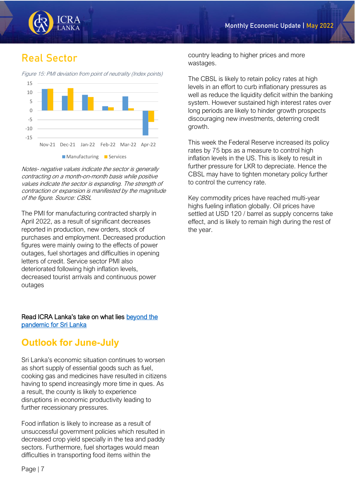

## **Real Sector**

Figure 15: PMI deviation from point of neutrality (Index points)



Notes- negative values indicate the sector is generally contracting on a month-on-month basis while positive values indicate the sector is expanding. The strength of contraction or expansion is manifested by the magnitude of the figure. Source: CBSL

The PMI for manufacturing contracted sharply in April 2022, as a result of significant decreases reported in production, new orders, stock of purchases and employment. Decreased production figures were mainly owing to the effects of power outages, fuel shortages and difficulties in opening letters of credit. Service sector PMI also deteriorated following high inflation levels, decreased tourist arrivals and continuous power outages

#### Read ICRA Lanka's take on what lies [beyond the](https://www.icralanka.com/research/pandemic-to-endemic-implications-for-sri-lankan-economy/)  [pandemic for Sri Lanka](https://www.icralanka.com/research/pandemic-to-endemic-implications-for-sri-lankan-economy/)

## **Outlook for June-July**

Sri Lanka's economic situation continues to worsen as short supply of essential goods such as fuel, cooking gas and medicines have resulted in citizens having to spend increasingly more time in ques. As a result, the county is likely to experience disruptions in economic productivity leading to further recessionary pressures.

Food inflation is likely to increase as a result of unsuccessful government policies which resulted in decreased crop yield specially in the tea and paddy sectors. Furthermore, fuel shortages would mean difficulties in transporting food items within the

country leading to higher prices and more wastages.

The CBSL is likely to retain policy rates at high levels in an effort to curb inflationary pressures as well as reduce the liquidity deficit within the banking system. However sustained high interest rates over long periods are likely to hinder growth prospects discouraging new investments, deterring credit growth.

This week the Federal Reserve increased its policy rates by 75 bps as a measure to control high inflation levels in the US. This is likely to result in further pressure for LKR to depreciate. Hence the CBSL may have to tighten monetary policy further to control the currency rate.

Key commodity prices have reached multi-year highs fueling inflation globally. Oil prices have settled at USD 120 / barrel as supply concerns take effect, and is likely to remain high during the rest of the year.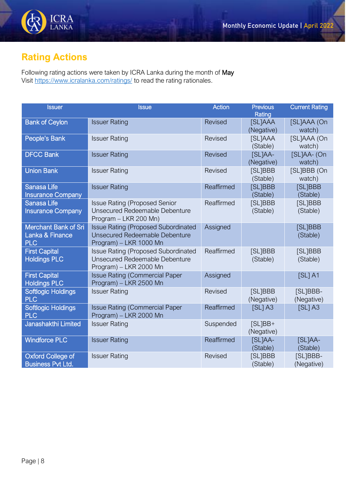

## **Rating Actions**

Following rating actions were taken by ICRA Lanka during the month of May Visit<https://www.icralanka.com/ratings/> to read the rating rationales.

| <b>Issuer</b>                                         | <b>Issue</b>                                                                                           | <b>Action</b>  | <b>Previous</b><br>Rating    | <b>Current Rating</b>  |
|-------------------------------------------------------|--------------------------------------------------------------------------------------------------------|----------------|------------------------------|------------------------|
| <b>Bank of Ceylon</b>                                 | <b>Issuer Rating</b>                                                                                   | <b>Revised</b> | <b>[SL]AAA</b><br>(Negative) | [SL]AAA (On<br>watch)  |
| People's Bank                                         | <b>Issuer Rating</b>                                                                                   | Revised        | <b>[SL]AAA</b><br>(Stable)   | [SL]AAA (On<br>watch)  |
| <b>DFCC Bank</b>                                      | <b>Issuer Rating</b>                                                                                   | <b>Revised</b> | [SL]AA-<br>(Negative)        | [SL]AA-(On<br>watch)   |
| <b>Union Bank</b>                                     | <b>Issuer Rating</b>                                                                                   | Revised        | [SL]BBB<br>(Stable)          | [SL]BBB (On<br>watch)  |
| <b>Sanasa Life</b><br><b>Insurance Company</b>        | <b>Issuer Rating</b>                                                                                   | Reaffirmed     | [SL]BBB<br>(Stable)          | [SL]BBB<br>(Stable)    |
| <b>Sanasa Life</b><br><b>Insurance Company</b>        | <b>Issue Rating (Proposed Senior</b><br>Unsecured Redeemable Debenture<br>Program - LKR 200 Mn)        | Reaffirmed     | [SL]BBB<br>(Stable)          | [SL]BBB<br>(Stable)    |
| Merchant Bank of Sri<br>Lanka & Finance<br><b>PLC</b> | <b>Issue Rating (Proposed Subordinated</b><br>Unsecured Redeemable Debenture<br>Program) - LKR 1000 Mn | Assigned       |                              | [SL]BBB<br>(Stable)    |
| <b>First Capital</b><br><b>Holdings PLC</b>           | <b>Issue Rating (Proposed Subordinated</b><br>Unsecured Redeemable Debenture<br>Program) - LKR 2000 Mn | Reaffirmed     | [SL]BBB<br>(Stable)          | [SL]BBB<br>(Stable)    |
| <b>First Capital</b><br><b>Holdings PLC</b>           | <b>Issue Rating (Commercial Paper</b><br>Program) - LKR 2500 Mn                                        | Assigned       |                              | $[SL]$ A1              |
| <b>Softlogic Holdings</b><br><b>PLC</b>               | <b>Issuer Rating</b>                                                                                   | Revised        | [SL]BBB<br>(Negative)        | [SL]BBB-<br>(Negative) |
| <b>Softlogic Holdings</b><br><b>PLC</b>               | <b>Issue Rating (Commercial Paper</b><br>Program) - LKR 2000 Mn                                        | Reaffirmed     | $[SL]$ A3                    | $[SL]$ A3              |
| Janashakthi Limited                                   | <b>Issuer Rating</b>                                                                                   | Suspended      | $[SL]BB+$<br>(Negative)      |                        |
| <b>Windforce PLC</b>                                  | <b>Issuer Rating</b>                                                                                   | Reaffirmed     | [SL]AA-<br>(Stable)          | [SL]AA-<br>(Stable)    |
| <b>Oxford College of</b><br><b>Business Pvt Ltd.</b>  | <b>Issuer Rating</b>                                                                                   | Revised        | [SL]BBB<br>(Stable)          | [SL]BBB-<br>(Negative) |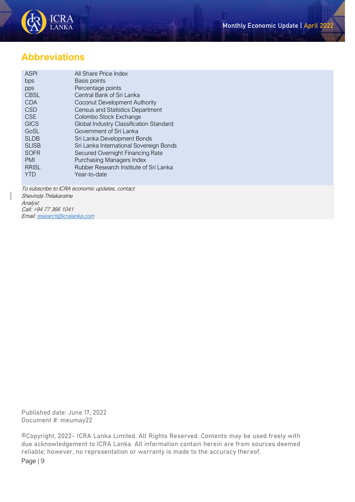

## **Abbreviations**

| <b>ASPI</b>  | All Share Price Index                   |
|--------------|-----------------------------------------|
| bps          | Basis points                            |
| pps          | Percentage points                       |
| <b>CBSL</b>  | Central Bank of Sri Lanka               |
| <b>CDA</b>   | Coconut Development Authority           |
| CSD          | <b>Census and Statistics Department</b> |
| <b>CSE</b>   | Colombo Stock Exchange                  |
| <b>GICS</b>  | Global Industry Classification Standard |
| GoSL         | Government of Sri Lanka                 |
| <b>SLDB</b>  | Sri Lanka Development Bonds             |
| <b>SLISB</b> | Sri Lanka International Sovereign Bonds |
| <b>SOFR</b>  | Secured Overnight Financing Rate        |
| <b>PMI</b>   | Purchasing Managers Index               |
| <b>RRISL</b> | Rubber Research Institute of Sri Lanka  |
| YTD          | Year-to-date                            |
|              |                                         |

To subscribe to ICRA economic updates, contact Shevinda Thilakaratne Analyst Call: +94 77 366 1041 Email[: research@icralanka.com](mailto:research@icralanka.com)

Published date: June 17, 2022 Document #: meumay22

Page | 9 ©Copyright, 2022- ICRA Lanka Limited. All Rights Reserved. Contents may be used freely with due acknowledgement to ICRA Lanka. All information contain herein are from sources deemed reliable; however, no representation or warranty is made to the accuracy thereof.